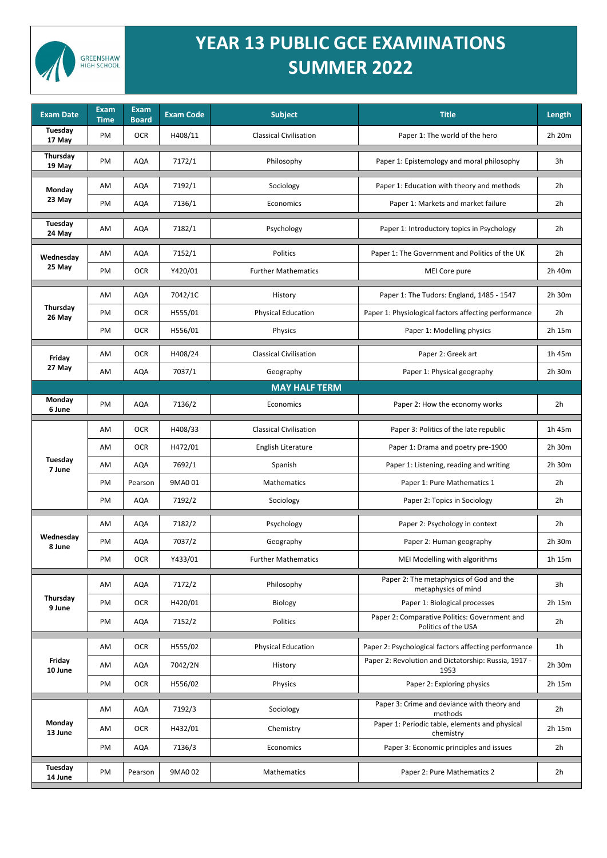

## **YEAR 13 PUBLIC GCE EXAMINATIONS SUMMER 2022**

| <b>Exam Date</b>        | <b>Exam</b><br><b>Time</b> | <b>Exam</b><br><b>Board</b> | <b>Exam Code</b> | <b>Subject</b>                | <b>Title</b>                                                         | Length         |
|-------------------------|----------------------------|-----------------------------|------------------|-------------------------------|----------------------------------------------------------------------|----------------|
| Tuesday<br>17 May       | PM                         | <b>OCR</b>                  | H408/11          | <b>Classical Civilisation</b> | Paper 1: The world of the hero                                       | 2h 20m         |
| Thursday<br>19 May      | PM                         | <b>AQA</b>                  | 7172/1           | Philosophy                    | Paper 1: Epistemology and moral philosophy                           | 3h             |
| <b>Monday</b><br>23 May | AM                         | <b>AQA</b>                  | 7192/1           | Sociology                     | Paper 1: Education with theory and methods                           | 2 <sub>h</sub> |
|                         | PM                         | AQA                         | 7136/1           | Economics                     | Paper 1: Markets and market failure                                  | 2 <sub>h</sub> |
| Tuesday<br>24 May       | AM                         | <b>AQA</b>                  | 7182/1           | Psychology                    | Paper 1: Introductory topics in Psychology                           | 2 <sub>h</sub> |
| Wednesday<br>25 May     | AM                         | <b>AQA</b>                  | 7152/1           | Politics                      | Paper 1: The Government and Politics of the UK                       | 2h             |
|                         | PM                         | <b>OCR</b>                  | Y420/01          | <b>Further Mathematics</b>    | MEI Core pure                                                        | 2h 40m         |
| Thursday<br>26 May      | AM                         | <b>AQA</b>                  | 7042/1C          | History                       | Paper 1: The Tudors: England, 1485 - 1547                            | 2h 30m         |
|                         | PM                         | <b>OCR</b>                  | H555/01          | <b>Physical Education</b>     | Paper 1: Physiological factors affecting performance                 | 2h             |
|                         | PM                         | <b>OCR</b>                  | H556/01          | Physics                       | Paper 1: Modelling physics                                           | 2h 15m         |
| Friday                  | AM                         | <b>OCR</b>                  | H408/24          | <b>Classical Civilisation</b> | Paper 2: Greek art                                                   | 1h 45m         |
| 27 May                  | AM                         | <b>AQA</b>                  | 7037/1           | Geography                     | Paper 1: Physical geography                                          | 2h 30m         |
|                         |                            |                             |                  | <b>MAY HALF TERM</b>          |                                                                      |                |
| Monday<br>6 June        | PM                         | <b>AQA</b>                  | 7136/2           | Economics                     | Paper 2: How the economy works                                       | 2h             |
| Tuesday<br>7 June       | AM                         | <b>OCR</b>                  | H408/33          | <b>Classical Civilisation</b> | Paper 3: Politics of the late republic                               | 1h 45m         |
|                         | AM                         | <b>OCR</b>                  | H472/01          | English Literature            | Paper 1: Drama and poetry pre-1900                                   | 2h 30m         |
|                         | AM                         | <b>AQA</b>                  | 7692/1           | Spanish                       | Paper 1: Listening, reading and writing                              | 2h 30m         |
|                         | PM                         | Pearson                     | 9MA0 01          | Mathematics                   | Paper 1: Pure Mathematics 1                                          | 2 <sub>h</sub> |
|                         | PM                         | <b>AQA</b>                  | 7192/2           | Sociology                     | Paper 2: Topics in Sociology                                         | 2h             |
|                         | AM                         | <b>AQA</b>                  | 7182/2           | Psychology                    | Paper 2: Psychology in context                                       | 2h             |
| Wednesday<br>8 June     | PM                         | <b>AQA</b>                  | 7037/2           | Geography                     | Paper 2: Human geography                                             | 2h 30m         |
|                         | PM                         | <b>OCR</b>                  | Y433/01          | <b>Further Mathematics</b>    | MEI Modelling with algorithms                                        | 1h 15m         |
| Thursday<br>9 June      | AM                         | <b>AQA</b>                  | 7172/2           | Philosophy                    | Paper 2: The metaphysics of God and the<br>metaphysics of mind       | 3h             |
|                         | PM                         | <b>OCR</b>                  | H420/01          | Biology                       | Paper 1: Biological processes                                        | 2h 15m         |
|                         | PM                         | <b>AQA</b>                  | 7152/2           | Politics                      | Paper 2: Comparative Politics: Government and<br>Politics of the USA | 2h             |
| Friday<br>10 June       | AM                         | <b>OCR</b>                  | H555/02          | <b>Physical Education</b>     | Paper 2: Psychological factors affecting performance                 | 1 <sub>h</sub> |
|                         | AM                         | <b>AQA</b>                  | 7042/2N          | History                       | Paper 2: Revolution and Dictatorship: Russia, 1917 -<br>1953         | 2h 30m         |
|                         | PM                         | <b>OCR</b>                  | H556/02          | Physics                       | Paper 2: Exploring physics                                           | 2h 15m         |
| Monday<br>13 June       | AM                         | AQA                         | 7192/3           | Sociology                     | Paper 3: Crime and deviance with theory and<br>methods               | 2h             |
|                         | AM                         | <b>OCR</b>                  | H432/01          | Chemistry                     | Paper 1: Periodic table, elements and physical<br>chemistry          | 2h 15m         |
|                         | PM                         | <b>AQA</b>                  | 7136/3           | Economics                     | Paper 3: Economic principles and issues                              | 2h             |
| Tuesday<br>14 June      | PM                         | Pearson                     | 9MA0 02          | Mathematics                   | Paper 2: Pure Mathematics 2                                          | 2h             |